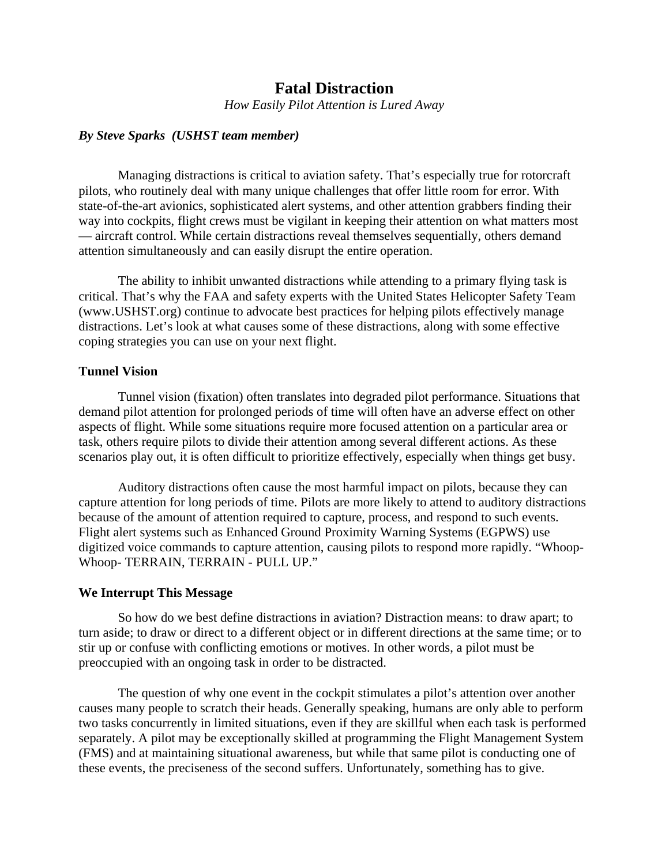# **Fatal Distraction**

*How Easily Pilot Attention is Lured Away* 

### *By Steve Sparks (USHST team member)*

Managing distractions is critical to aviation safety. That's especially true for rotorcraft pilots, who routinely deal with many unique challenges that offer little room for error. With state-of-the-art avionics, sophisticated alert systems, and other attention grabbers finding their way into cockpits, flight crews must be vigilant in keeping their attention on what matters most — aircraft control. While certain distractions reveal themselves sequentially, others demand attention simultaneously and can easily disrupt the entire operation.

The ability to inhibit unwanted distractions while attending to a primary flying task is critical. That's why the FAA and safety experts with the United States Helicopter Safety Team (www.USHST.org) continue to advocate best practices for helping pilots effectively manage distractions. Let's look at what causes some of these distractions, along with some effective coping strategies you can use on your next flight.

#### **Tunnel Vision**

 Tunnel vision (fixation) often translates into degraded pilot performance. Situations that demand pilot attention for prolonged periods of time will often have an adverse effect on other aspects of flight. While some situations require more focused attention on a particular area or task, others require pilots to divide their attention among several different actions. As these scenarios play out, it is often difficult to prioritize effectively, especially when things get busy.

Auditory distractions often cause the most harmful impact on pilots, because they can capture attention for long periods of time. Pilots are more likely to attend to auditory distractions because of the amount of attention required to capture, process, and respond to such events. Flight alert systems such as Enhanced Ground Proximity Warning Systems (EGPWS) use digitized voice commands to capture attention, causing pilots to respond more rapidly. "Whoop-Whoop- TERRAIN, TERRAIN - PULL UP."

#### **We Interrupt This Message**

So how do we best define distractions in aviation? Distraction means: to draw apart; to turn aside; to draw or direct to a different object or in different directions at the same time; or to stir up or confuse with conflicting emotions or motives. In other words, a pilot must be preoccupied with an ongoing task in order to be distracted.

The question of why one event in the cockpit stimulates a pilot's attention over another causes many people to scratch their heads. Generally speaking, humans are only able to perform two tasks concurrently in limited situations, even if they are skillful when each task is performed separately. A pilot may be exceptionally skilled at programming the Flight Management System (FMS) and at maintaining situational awareness, but while that same pilot is conducting one of these events, the preciseness of the second suffers. Unfortunately, something has to give.